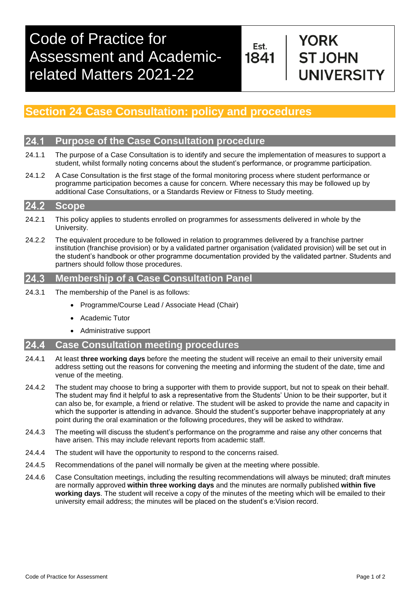Est. 1841

# **YORK ST JOHN INIVERSITY**

## **Section 24 Case Consultation: policy and procedures**

#### **Purpose of the Case Consultation procedure** 24.1

- 24.1.1 The purpose of a Case Consultation is to identify and secure the implementation of measures to support a student, whilst formally noting concerns about the student's performance, or programme participation.
- 24.1.2 A Case Consultation is the first stage of the formal monitoring process where student performance or programme participation becomes a cause for concern. Where necessary this may be followed up by additional Case Consultations, or a Standards Review or Fitness to Study meeting.

#### $24.2$ **Scope**

- 24.2.1 This policy applies to students enrolled on programmes for assessments delivered in whole by the University.
- 24.2.2 The equivalent procedure to be followed in relation to programmes delivered by a franchise partner institution (franchise provision) or by a validated partner organisation (validated provision) will be set out in the student's handbook or other programme documentation provided by the validated partner. Students and partners should follow those procedures.

#### **Membership of a Case Consultation Panel** 24.3

- 24.3.1 The membership of the Panel is as follows:
	- Programme/Course Lead / Associate Head (Chair)
	- Academic Tutor
	- Administrative support

#### $24.4$ **Case Consultation meeting procedures**

- 24.4.1 At least **three working days** before the meeting the student will receive an email to their university email address setting out the reasons for convening the meeting and informing the student of the date, time and venue of the meeting.
- 24.4.2 The student may choose to bring a supporter with them to provide support, but not to speak on their behalf. The student may find it helpful to ask a representative from the Students' Union to be their supporter, but it can also be, for example, a friend or relative. The student will be asked to provide the name and capacity in which the supporter is attending in advance. Should the student's supporter behave inappropriately at any point during the oral examination or the following procedures, they will be asked to withdraw.
- 24.4.3 The meeting will discuss the student's performance on the programme and raise any other concerns that have arisen. This may include relevant reports from academic staff.
- 24.4.4 The student will have the opportunity to respond to the concerns raised.
- 24.4.5 Recommendations of the panel will normally be given at the meeting where possible.
- 24.4.6 Case Consultation meetings, including the resulting recommendations will always be minuted; draft minutes are normally approved **within three working days** and the minutes are normally published **within five working days**. The student will receive a copy of the minutes of the meeting which will be emailed to their university email address; the minutes will be placed on the student's e:Vision record.